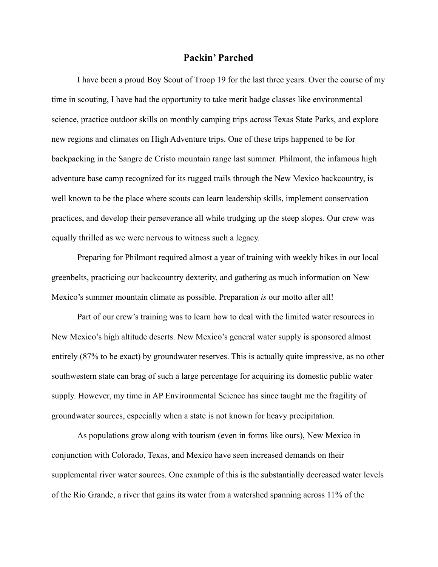## **Packin' Parched**

I have been a proud Boy Scout of Troop 19 for the last three years. Over the course of my time in scouting, I have had the opportunity to take merit badge classes like environmental science, practice outdoor skills on monthly camping trips across Texas State Parks, and explore new regions and climates on High Adventure trips. One of these trips happened to be for backpacking in the Sangre de Cristo mountain range last summer. Philmont, the infamous high adventure base camp recognized for its rugged trails through the New Mexico backcountry, is well known to be the place where scouts can learn leadership skills, implement conservation practices, and develop their perseverance all while trudging up the steep slopes. Our crew was equally thrilled as we were nervous to witness such a legacy.

Preparing for Philmont required almost a year of training with weekly hikes in our local greenbelts, practicing our backcountry dexterity, and gathering as much information on New Mexico's summer mountain climate as possible. Preparation *is* our motto after all!

Part of our crew's training was to learn how to deal with the limited water resources in New Mexico's high altitude deserts. New Mexico's general water supply is sponsored almost entirely (87% to be exact) by groundwater reserves. This is actually quite impressive, as no other southwestern state can brag of such a large percentage for acquiring its domestic public water supply. However, my time in AP Environmental Science has since taught me the fragility of groundwater sources, especially when a state is not known for heavy precipitation.

As populations grow along with tourism (even in forms like ours), New Mexico in conjunction with Colorado, Texas, and Mexico have seen increased demands on their supplemental river water sources. One example of this is the substantially decreased water levels of the Rio Grande, a river that gains its water from a watershed spanning across 11% of the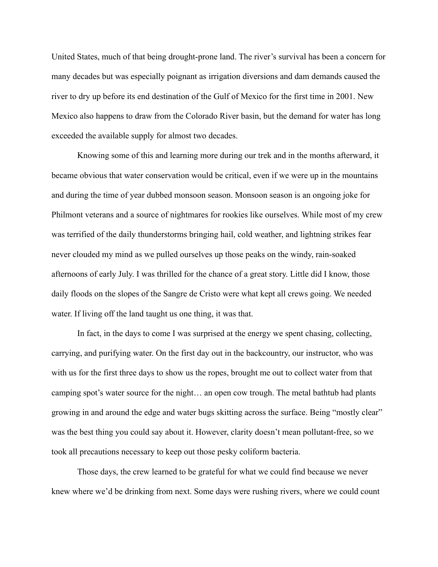United States, much of that being drought-prone land. The river's survival has been a concern for many decades but was especially poignant as irrigation diversions and dam demands caused the river to dry up before its end destination of the Gulf of Mexico for the first time in 2001. New Mexico also happens to draw from the Colorado River basin, but the demand for water has long exceeded the available supply for almost two decades.

Knowing some of this and learning more during our trek and in the months afterward, it became obvious that water conservation would be critical, even if we were up in the mountains and during the time of year dubbed monsoon season. Monsoon season is an ongoing joke for Philmont veterans and a source of nightmares for rookies like ourselves. While most of my crew was terrified of the daily thunderstorms bringing hail, cold weather, and lightning strikes fear never clouded my mind as we pulled ourselves up those peaks on the windy, rain-soaked afternoons of early July. I was thrilled for the chance of a great story. Little did I know, those daily floods on the slopes of the Sangre de Cristo were what kept all crews going. We needed water. If living off the land taught us one thing, it was that.

In fact, in the days to come I was surprised at the energy we spent chasing, collecting, carrying, and purifying water. On the first day out in the backcountry, our instructor, who was with us for the first three days to show us the ropes, brought me out to collect water from that camping spot's water source for the night… an open cow trough. The metal bathtub had plants growing in and around the edge and water bugs skitting across the surface. Being "mostly clear" was the best thing you could say about it. However, clarity doesn't mean pollutant-free, so we took all precautions necessary to keep out those pesky coliform bacteria.

Those days, the crew learned to be grateful for what we could find because we never knew where we'd be drinking from next. Some days were rushing rivers, where we could count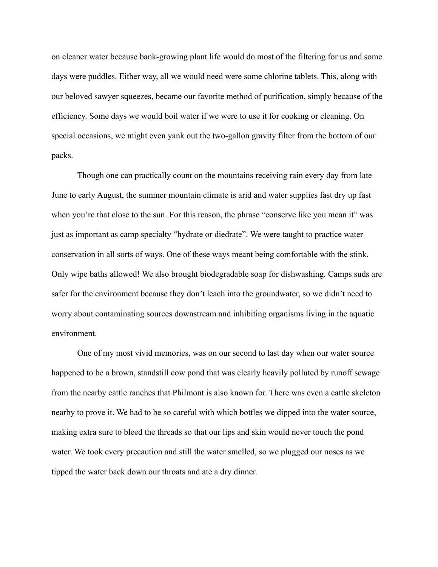on cleaner water because bank-growing plant life would do most of the filtering for us and some days were puddles. Either way, all we would need were some chlorine tablets. This, along with our beloved sawyer squeezes, became our favorite method of purification, simply because of the efficiency. Some days we would boil water if we were to use it for cooking or cleaning. On special occasions, we might even yank out the two-gallon gravity filter from the bottom of our packs.

Though one can practically count on the mountains receiving rain every day from late June to early August, the summer mountain climate is arid and water supplies fast dry up fast when you're that close to the sun. For this reason, the phrase "conserve like you mean it" was just as important as camp specialty "hydrate or diedrate". We were taught to practice water conservation in all sorts of ways. One of these ways meant being comfortable with the stink. Only wipe baths allowed! We also brought biodegradable soap for dishwashing. Camps suds are safer for the environment because they don't leach into the groundwater, so we didn't need to worry about contaminating sources downstream and inhibiting organisms living in the aquatic environment.

One of my most vivid memories, was on our second to last day when our water source happened to be a brown, standstill cow pond that was clearly heavily polluted by runoff sewage from the nearby cattle ranches that Philmont is also known for. There was even a cattle skeleton nearby to prove it. We had to be so careful with which bottles we dipped into the water source, making extra sure to bleed the threads so that our lips and skin would never touch the pond water. We took every precaution and still the water smelled, so we plugged our noses as we tipped the water back down our throats and ate a dry dinner.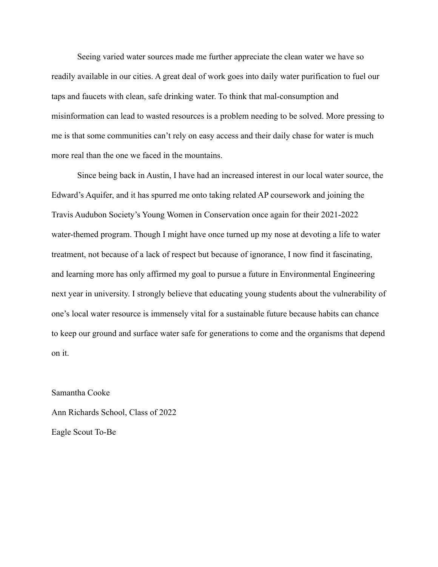Seeing varied water sources made me further appreciate the clean water we have so readily available in our cities. A great deal of work goes into daily water purification to fuel our taps and faucets with clean, safe drinking water. To think that mal-consumption and misinformation can lead to wasted resources is a problem needing to be solved. More pressing to me is that some communities can't rely on easy access and their daily chase for water is much more real than the one we faced in the mountains.

Since being back in Austin, I have had an increased interest in our local water source, the Edward's Aquifer, and it has spurred me onto taking related AP coursework and joining the Travis Audubon Society's Young Women in Conservation once again for their 2021-2022 water-themed program. Though I might have once turned up my nose at devoting a life to water treatment, not because of a lack of respect but because of ignorance, I now find it fascinating, and learning more has only affirmed my goal to pursue a future in Environmental Engineering next year in university. I strongly believe that educating young students about the vulnerability of one's local water resource is immensely vital for a sustainable future because habits can chance to keep our ground and surface water safe for generations to come and the organisms that depend on it.

Samantha Cooke Ann Richards School, Class of 2022 Eagle Scout To-Be